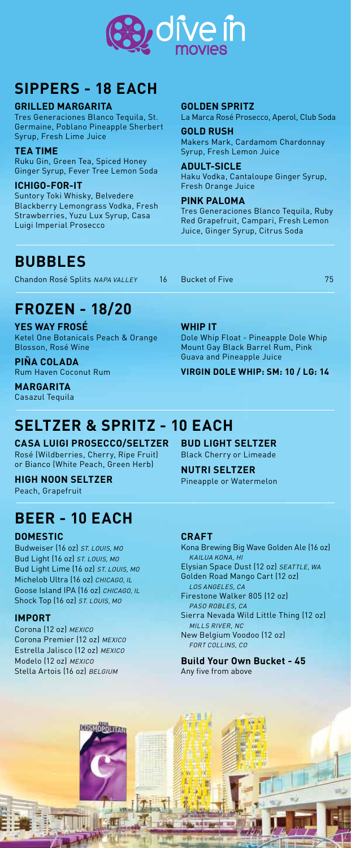

### **SIPPERS - 18 EACH**

**GRILLED MARGARITA**

Tres Generaciones Blanco Tequila, St. Germaine, Poblano Pineapple Sherbert Syrup, Fresh Lime Juice

**TEA TIME** Ruku Gin, Green Tea, Spiced Honey Ginger Syrup, Fever Tree Lemon Soda

**ICHIGO-FOR-IT** Suntory Toki Whisky, Belvedere Blackberry Lemongrass Vodka, Fresh Strawberries, Yuzu Lux Syrup, Casa Luigi Imperial Prosecco

**GOLDEN SPRITZ**

La Marca Rosé Prosecco, Aperol, Club Soda

**GOLD RUSH** Makers Mark, Cardamom Chardonnay Syrup, Fresh Lemon Juice

**ADULT-SICLE** Haku Vodka, Cantaloupe Ginger Syrup, Fresh Orange Juice

**PINK PALOMA** Tres Generaciones Blanco Tequila, Ruby Red Grapefruit, Campari, Fresh Lemon Juice, Ginger Syrup, Citrus Soda

## **BUBBLES**

Chandon Rosé Splits NAPA VALLEY 16 Bucket of Five 75

# **FROZEN - 18/20**

**YES WAY FROSÉ** Ketel One Botanicals Peach & Orange Blosson, Rosé Wine

**PIÑA COLADA** Rum Haven Coconut Rum

**MARGARITA** Casazul Tequila

# **SELTZER & SPRITZ - 10 EACH**

**CASA LUIGI PROSECCO/SELTZER** Rosé (Wildberries, Cherry, Ripe Fruit) or Bianco (White Peach, Green Herb)

**HIGH NOON SELTZER** Peach, Grapefruit

## **BEER - 10 EACH**

**DOMESTIC**

Budweiser (16 oz) ST. LOUIS, MO Bud Light (16 oz) ST. LOUIS, MO Bud Light Lime (16 oz) ST. LOUIS, MO Michelob Ultra (16 oz) CHICAGO, IL Goose Island IPA (16 oz) CHICAGO, IL Shock Top (16 oz) ST. LOUIS, MO

#### **IMPORT**

Corona (12 oz) MEXICO Corona Premier (12 oz) MEXICO Estrella Jalisco (12 oz) MEXICO Modelo (12 oz) MEXICO Stella Artois (16 oz) BELGIUM

### **WHIP IT**

Dole Whip Float - Pineapple Dole Whip Mount Gay Black Barrel Rum, Pink Guava and Pineapple Juice

**VIRGIN DOLE WHIP: SM: 10 / LG: 14**

#### Black Cherry or Limeade **NUTRI SELTZER**

**BUD LIGHT SELTZER**

Pineapple or Watermelon

#### **CRAFT**

Kona Brewing Big Wave Golden Ale (16 oz) KAILUA KONA, HI

Elysian Space Dust (12 oz) SEATTLE, WA Golden Road Mango Cart (12 oz)

LOS ANGELES, CA Firestone Walker 805 (12 oz)

PASO ROBLES, CA Sierra Nevada Wild Little Thing (12 oz) MILLS RIVER, NC New Belgium Voodoo (12 oz)

FORT COLLINS, CO

**Build Your Own Bucket - 45** Any five from above